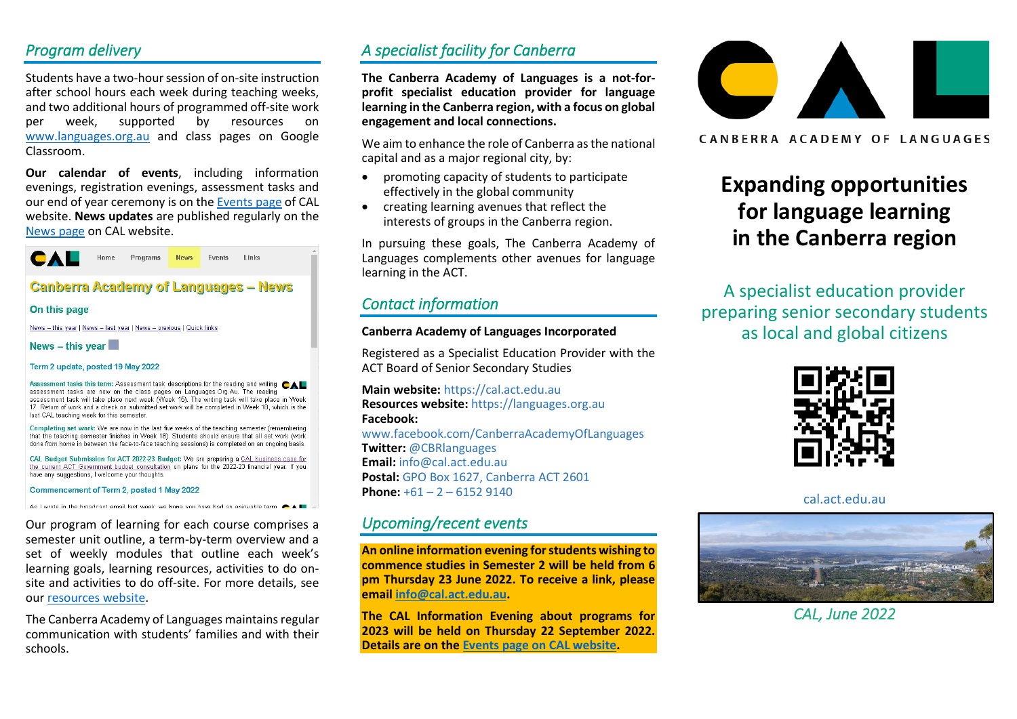## *Program delivery*

Students have a two-hour session of on-site instruction after school hours each week during teaching weeks, and two additional hours of programmed off-site work per week, supported by resources on [www.languages.org.au](http://www.languages.org.au/) and class pages on Google Classroom.

**Our calendar of events**, including information evenings, registration evenings, assessment tasks and our end of year ceremony is on th[e Events page](https://cal.act.edu.au/events.htm) of CAL website. **News updates** are published regularly on the [News page](https://cal.act.edu.au/news.htm) on CAL website.



## **Canberra Academy of Languages - News**

#### On this page

News - this year | News - last year | News - previous | Quick links

#### News  $-$  this year

Term 2 update, posted 19 May 2022

Assessment tasks this term: Assessment task descriptions for the reading and writing  $\bullet\blacktriangle\blacksquare$ assessment tasks are now on the class pages on Languages. Org.Au. The reading assessment task will take place next week (Week 15). The writing task will take place in Week 17. Return of work and a check on submitted set work will be completed in Week 18, which is the last CAL teaching week for this semester

Completing set work: We are now in the last five weeks of the teaching semester (remembering that the teaching semester finishes in Week 18). Students should ensure that all set work (work done from home in between the face-to-face teaching sessions) is completed on an ongoing basis.

CAL Budget Submission for ACT 2022-23 Budget: We are preparing a CAL business case for the current ACT Government budget consultation on plans for the 2022-23 financial year. If you have any suggestions, I welcome your thoughts

Commencement of Term 2, posted 1 May 2022

As I wrote in the broadcast email last week, we hone you have had an enjoyable term

Our program of learning for each course comprises a semester unit outline, a term-by-term overview and a set of weekly modules that outline each week's learning goals, learning resources, activities to do onsite and activities to do off-site. For more details, see our [resources website.](https://languages.org.au/)

The Canberra Academy of Languages maintains regular communication with students' families and with their schools.

# *A specialist facility for Canberra*

**The Canberra Academy of Languages is a not-forprofit specialist education provider for language learning in the Canberra region, with a focus on global engagement and local connections.**

We aim to enhance the role of Canberra as the national capital and as a major regional city, by:

- promoting capacity of students to participate effectively in the global community
- creating learning avenues that reflect the interests of groups in the Canberra region.

In pursuing these goals, The Canberra Academy of Languages complements other avenues for language learning in the ACT.

# *Contact information*

#### **Canberra Academy of Languages Incorporated**

Registered as a Specialist Education Provider with the ACT Board of Senior Secondary Studies

**Main website:** [https://cal.act.edu.au](https://cal.act.edu.au/) **Resources website:** [https://languages.org.au](https://languages.org.au/) **Facebook:**

[www.facebook.com/CanberraAcademyOfLanguages](http://www.facebook.com/CanberraAcademyOfLanguages) **Twitter:** @CBRlanguages **Email:** info@cal.act.edu.au **Postal:** GPO Box 1627, Canberra ACT 2601 **Phone:**  $+61 - 2 - 61529140$ 

## *Upcoming/recent events*

**An online information evening for students wishing to commence studies in Semester 2 will be held from 6 pm Thursday 23 June 2022. To receive a link, please email [info@cal.act.edu.au.](mailto:info@cal.act.edu.au)**

**The CAL Information Evening about programs for 2023 will be held on Thursday 22 September 2022. Details are on the [Events page on CAL website.](https://cal.act.edu.au/events.htm)**



CANBERRA ACADEMY OF LANGUAGES

# **Expanding opportunities for language learning in the Canberra region**

A specialist education provider preparing senior secondary students as local and global citizens



cal.act.edu.au



*CAL, June 2022*